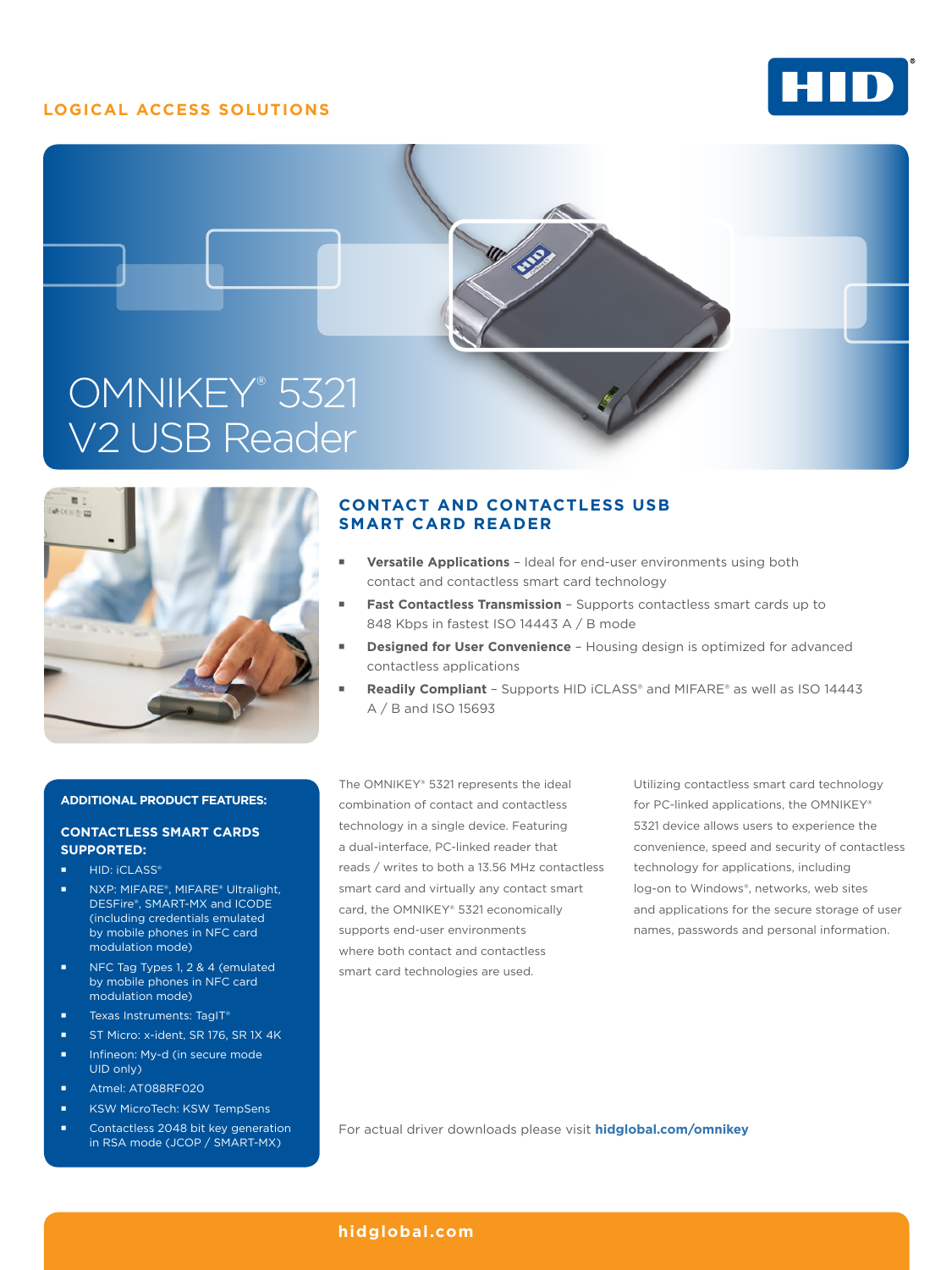# **LOGICAL ACCESS SOLUTIONS**







# **CONTACT AND CONTACTLESS USB SMART CARD READER**

- **Versatile Applications** Ideal for end-user environments using both contact and contactless smart card technology
- **Fast Contactless Transmission** Supports contactless smart cards up to 848 Kbps in fastest ISO 14443 A / B mode
- **Designed for User Convenience** Housing design is optimized for advanced contactless applications
- **Readily Compliant** Supports HID iCLASS® and MIFARE® as well as ISO 14443 A / B and ISO 15693

### **ADDITIONAL PRODUCT FEATURES:**

## **CONTACTLESS SMART CARDS SUPPORTED:**

- HID: **iCLASS®**
- NXP: MIFARE®, MIFARE® Ultralight, DESFire®, SMART-MX and ICODE (including credentials emulated by mobile phones in NFC card modulation mode)
- **NFC Tag Types 1, 2 & 4 (emulated** by mobile phones in NFC card modulation mode)
- Texas Instruments: TagIT®
- ST Micro: x-ident, SR 176, SR 1X 4K
- **Infineon: My-d (in secure mode** UID only)
- Atmel: AT088RF020
- KSW MicroTech: KSW TempSens
- Contactless 2048 bit key generation in RSA mode (JCOP / SMART-MX)

The OMNIKEY® 5321 represents the ideal combination of contact and contactless technology in a single device. Featuring a dual-interface, PC-linked reader that reads / writes to both a 13.56 MHz contactless smart card and virtually any contact smart card, the OMNIKEY® 5321 economically supports end-user environments where both contact and contactless smart card technologies are used.

Utilizing contactless smart card technology for PC-linked applications, the OMNIKEY® 5321 device allows users to experience the convenience, speed and security of contactless technology for applications, including log-on to Windows®, networks, web sites and applications for the secure storage of user names, passwords and personal information.

For actual driver downloads please visit **hidglobal.com/omnikey**

**hidglobal.com**